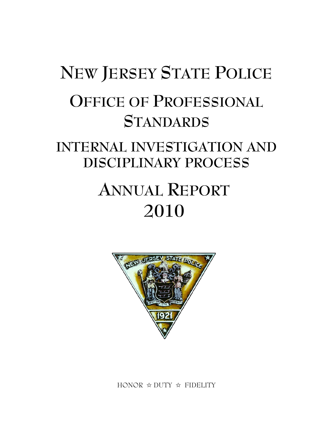# **NEW JERSEY STATE POLICE OFFICE OF PROFESSIONAL STANDARDS**

### **INTERNAL INVESTIGATION AND DISCIPLINARY PROCESS**

## **ANNUAL REPORT 2010**



HONOR  $\hat{\varphi}$  DUTY  $\hat{\varphi}$  FIDELITY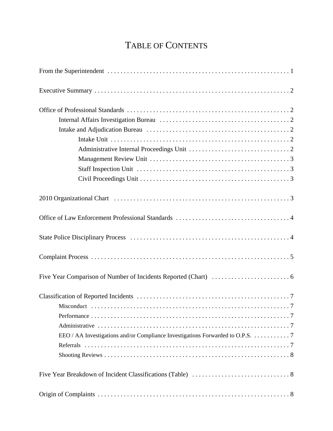#### TABLE OF CONTENTS

| EEO / AA Investigations and/or Compliance Investigations Forwarded to O.P.S. 7 |  |
|--------------------------------------------------------------------------------|--|
|                                                                                |  |
|                                                                                |  |
|                                                                                |  |
|                                                                                |  |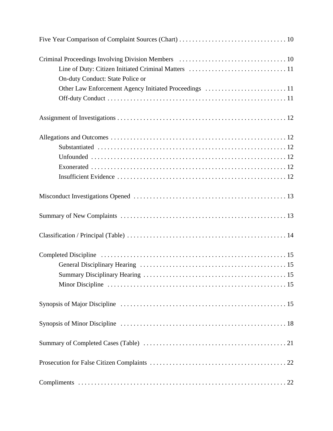| On-duty Conduct: State Police or |
|----------------------------------|
|                                  |
|                                  |
|                                  |
|                                  |
|                                  |
|                                  |
|                                  |
|                                  |
|                                  |
|                                  |
|                                  |
|                                  |
|                                  |
|                                  |
|                                  |
|                                  |
|                                  |
|                                  |
|                                  |
|                                  |
|                                  |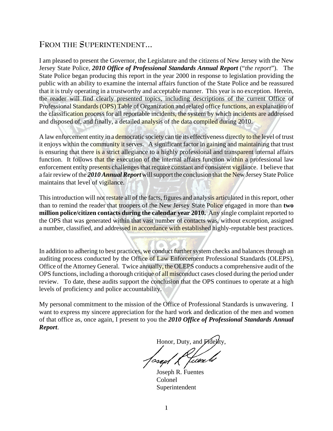#### **FROM THE SUPERINTENDENT...**

I am pleased to present the Governor, the Legislature and the citizens of New Jersey with the New Jersey State Police, *2010 Office of Professional Standards Annual Report* ("*the report*"). The State Police began producing this report in the year 2000 in response to legislation providing the public with an ability to examine the internal affairs function of the State Police and be reassured that it is truly operating in a trustworthy and acceptable manner. This year is no exception. Herein, the reader will find clearly presented topics, including descriptions of the current Office of Professional Standards (OPS) Table of Organization and related office functions, an explanation of the classification process for all reportable incidents, the system by which incidents are addressed and disposed of, and finally, a detailed analysis of the data compiled during 2010.

A law enforcement entity in a democratic society can tie its effectiveness directly to the level of trust it enjoys within the community it serves. A significant factor in gaining and maintaining that trust is ensuring that there is a strict allegiance to a highly professional and transparent internal affairs function. It follows that the execution of the internal affairs function within a professional law enforcement entity presents challenges that require constant and consistent vigilance. I believe that a fair review of the *2010 Annual Report* will support the conclusion that the New Jersey State Police maintains that level of vigilance.

This introduction will not restate all of the facts, figures and analysis articulated in this report, other than to remind the reader that troopers of the New Jersey State Police engaged in more than **two million police/citizen contacts during the calendar year 2010.** Any single complaint reported to the OPS that was generated within that vast number of contacts was, without exception, assigned a number, classified, and addressed in accordance with established highly-reputable best practices.

In addition to adhering to best practices, we conduct further system checks and balances through an auditing process conducted by the Office of Law Enforcement Professional Standards (OLEPS), Office of the Attorney General. Twice annually, the OLEPS conducts a comprehensive audit of the OPS functions, including a thorough critique of all misconduct cases closed during the period under review. To date, these audits support the conclusion that the OPS continues to operate at a high levels of proficiency and police accountability.

My personal commitment to the mission of the Office of Professional Standards is unwavering. I want to express my sincere appreciation for the hard work and dedication of the men and women of that office as, once again, I present to you the *2010 Office of Professional Standards Annual Report*.

Honor, Duty, and Fide

osap/L<sup>ux</sup>tuen

Joseph R. Fuentes Colonel Superintendent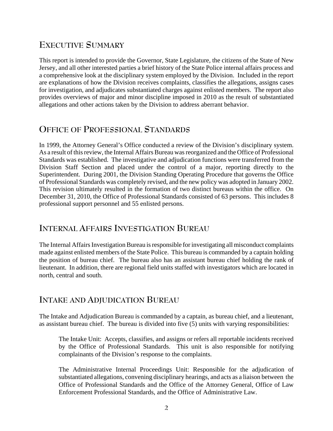#### **EXECUTIVE SUMMARY**

This report is intended to provide the Governor, State Legislature, the citizens of the State of New Jersey, and all other interested parties a brief history of the State Police internal affairs process and a comprehensive look at the disciplinary system employed by the Division. Included in the report are explanations of how the Division receives complaints, classifies the allegations, assigns cases for investigation, and adjudicates substantiated charges against enlisted members. The report also provides overviews of major and minor discipline imposed in 2010 as the result of substantiated allegations and other actions taken by the Division to address aberrant behavior.

#### **OFFICE OF PROFESSIONAL STANDARDS**

In 1999, the Attorney General's Office conducted a review of the Division's disciplinary system. As a result of this review, the Internal Affairs Bureau was reorganized and the Office of Professional Standards was established. The investigative and adjudication functions were transferred from the Division Staff Section and placed under the control of a major, reporting directly to the Superintendent. During 2001, the Division Standing Operating Procedure that governs the Office of Professional Standards was completely revised, and the new policy was adopted in January 2002. This revision ultimately resulted in the formation of two distinct bureaus within the office. On December 31, 2010, the Office of Professional Standards consisted of 63 persons. This includes 8 professional support personnel and 55 enlisted persons.

#### **INTERNAL AFFAIRS INVESTIGATION BUREAU**

The Internal Affairs Investigation Bureau is responsible for investigating all misconduct complaints made against enlisted members of the State Police. This bureau is commanded by a captain holding the position of bureau chief. The bureau also has an assistant bureau chief holding the rank of lieutenant. In addition, there are regional field units staffed with investigators which are located in north, central and south.

#### **INTAKE AND ADJUDICATION BUREAU**

The Intake and Adjudication Bureau is commanded by a captain, as bureau chief, and a lieutenant, as assistant bureau chief. The bureau is divided into five (5) units with varying responsibilities:

The Intake Unit: Accepts, classifies, and assigns or refers all reportable incidents received by the Office of Professional Standards. This unit is also responsible for notifying complainants of the Division's response to the complaints.

The Administrative Internal Proceedings Unit: Responsible for the adjudication of substantiated allegations, convening disciplinary hearings, and acts as a liaison between the Office of Professional Standards and the Office of the Attorney General, Office of Law Enforcement Professional Standards, and the Office of Administrative Law.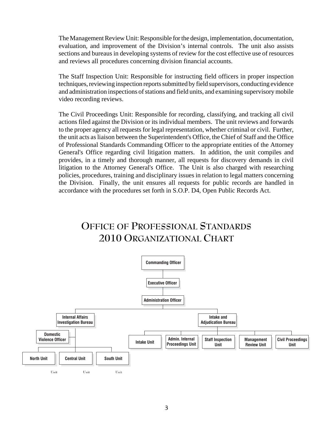The Management Review Unit: Responsible for the design, implementation, documentation, evaluation, and improvement of the Division's internal controls. The unit also assists sections and bureaus in developing systems of review for the cost effective use of resources and reviews all procedures concerning division financial accounts.

The Staff Inspection Unit: Responsible for instructing field officers in proper inspection techniques, reviewing inspection reports submitted by field supervisors, conducting evidence and administration inspections of stations and field units, and examining supervisory mobile video recording reviews.

The Civil Proceedings Unit: Responsible for recording, classifying, and tracking all civil actions filed against the Division or its individual members. The unit reviews and forwards to the proper agency all requests for legal representation, whether criminal or civil. Further, the unit acts as liaison between the Superintendent's Office, the Chief of Staff and the Office of Professional Standards Commanding Officer to the appropriate entities of the Attorney General's Office regarding civil litigation matters. In addition, the unit compiles and provides, in a timely and thorough manner, all requests for discovery demands in civil litigation to the Attorney General's Office. The Unit is also charged with researching policies, procedures, training and disciplinary issues in relation to legal matters concerning the Division. Finally, the unit ensures all requests for public records are handled in accordance with the procedures set forth in S.O.P. D4, Open Public Records Act.

#### **OFFICE OF PROFESSIONAL STANDARDS 2010 ORGANIZATIONAL CHART**

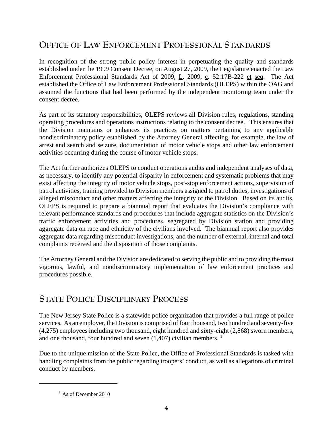#### **OFFICE OF LAW ENFORCEMENT PROFESSIONAL STANDARDS**

In recognition of the strong public policy interest in perpetuating the quality and standards established under the 1999 Consent Decree, on August 27, 2009, the Legislature enacted the Law Enforcement Professional Standards Act of 2009, L. 2009, c. 52:17B-222 et seq. The Act established the Office of Law Enforcement Professional Standards (OLEPS) within the OAG and assumed the functions that had been performed by the independent monitoring team under the consent decree.

As part of its statutory responsibilities, OLEPS reviews all Division rules, regulations, standing operating procedures and operations instructions relating to the consent decree. This ensures that the Division maintains or enhances its practices on matters pertaining to any applicable nondiscriminatory policy established by the Attorney General affecting, for example, the law of arrest and search and seizure, documentation of motor vehicle stops and other law enforcement activities occurring during the course of motor vehicle stops.

The Act further authorizes OLEPS to conduct operations audits and independent analyses of data, as necessary, to identify any potential disparity in enforcement and systematic problems that may exist affecting the integrity of motor vehicle stops, post-stop enforcement actions, supervision of patrol activities, training provided to Division members assigned to patrol duties, investigations of alleged misconduct and other matters affecting the integrity of the Division. Based on its audits, OLEPS is required to prepare a biannual report that evaluates the Division's compliance with relevant performance standards and procedures that include aggregate statistics on the Division's traffic enforcement activities and procedures, segregated by Division station and providing aggregate data on race and ethnicity of the civilians involved. The biannual report also provides aggregate data regarding misconduct investigations, and the number of external, internal and total complaints received and the disposition of those complaints.

The Attorney General and the Division are dedicated to serving the public and to providing the most vigorous, lawful, and nondiscriminatory implementation of law enforcement practices and procedures possible.

#### **STATE POLICE DISCIPLINARY PROCESS**

The New Jersey State Police is a statewide police organization that provides a full range of police services*.* As an employer, the Division is comprised of four thousand, two hundred and seventy-five (4,275) employees including two thousand, eight hundred and sixty-eight (2,868) sworn members, and one thousand, four hundred and seven  $(1,407)$  civilian members. <sup>1</sup>

Due to the unique mission of the State Police, the Office of Professional Standards is tasked with handling complaints from the public regarding troopers' conduct, as well as allegations of criminal conduct by members.

 $<sup>1</sup>$  As of December 2010</sup>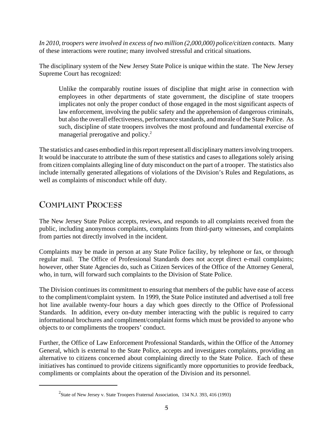*In 2010, troopers were involved in excess of two million (2,000,000) police/citizen contacts*. Many of these interactions were routine; many involved stressful and critical situations.

The disciplinary system of the New Jersey State Police is unique within the state. The New Jersey Supreme Court has recognized:

Unlike the comparably routine issues of discipline that might arise in connection with employees in other departments of state government, the discipline of state troopers implicates not only the proper conduct of those engaged in the most significant aspects of law enforcement, involving the public safety and the apprehension of dangerous criminals, but also the overall effectiveness, performance standards, and morale of the State Police. As such, discipline of state troopers involves the most profound and fundamental exercise of managerial prerogative and policy.<sup>2</sup>

The statistics and cases embodied in this report represent all disciplinary matters involving troopers. It would be inaccurate to attribute the sum of these statistics and cases to allegations solely arising from citizen complaints alleging line of duty misconduct on the part of a trooper. The statistics also include internally generated allegations of violations of the Division's Rules and Regulations, as well as complaints of misconduct while off duty.

#### **COMPLAINT PROCESS**

The New Jersey State Police accepts, reviews, and responds to all complaints received from the public, including anonymous complaints, complaints from third-party witnesses, and complaints from parties not directly involved in the incident.

Complaints may be made in person at any State Police facility, by telephone or fax, or through regular mail. The Office of Professional Standards does not accept direct e-mail complaints; however, other State Agencies do, such as Citizen Services of the Office of the Attorney General, who, in turn, will forward such complaints to the Division of State Police.

The Division continues its commitment to ensuring that members of the public have ease of access to the compliment/complaint system. In 1999, the State Police instituted and advertised a toll free hot line available twenty-four hours a day which goes directly to the Office of Professional Standards. In addition, every on-duty member interacting with the public is required to carry informational brochures and compliment/complaint forms which must be provided to anyone who objects to or compliments the troopers' conduct.

Further, the Office of Law Enforcement Professional Standards, within the Office of the Attorney General, which is external to the State Police, accepts and investigates complaints, providing an alternative to citizens concerned about complaining directly to the State Police. Each of these initiatives has continued to provide citizens significantly more opportunities to provide feedback, compliments or complaints about the operation of the Division and its personnel.

<sup>&</sup>lt;sup>2</sup>State of New Jersey v. State Troopers Fraternal Association, 134 N.J. 393, 416 (1993)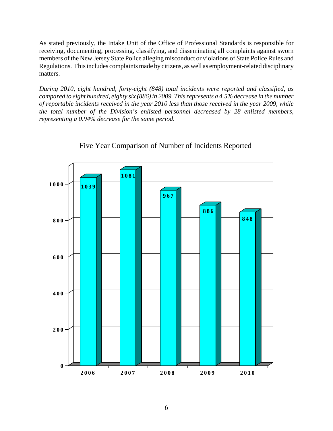As stated previously, the Intake Unit of the Office of Professional Standards is responsible for receiving, documenting, processing, classifying, and disseminating all complaints against sworn members of the New Jersey State Police alleging misconduct or violations of State Police Rules and Regulations. This includes complaints made by citizens, as well as employment-related disciplinary matters.

*During 2010, eight hundred, forty-eight (848) total incidents were reported and classified, as compared to eight hundred, eighty six (886) in 2009. This represents a 4.5% decrease in the number of reportable incidents received in the year 2010 less than those received in the year 2009, while the total number of the Division's enlisted personnel decreased by 28 enlisted members, representing a 0.94% decrease for the same period.*



Five Year Comparison of Number of Incidents Reported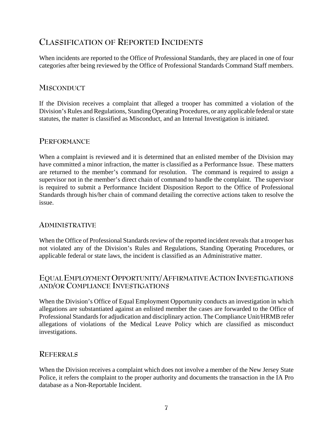#### **CLASSIFICATION OF REPORTED INCIDENTS**

When incidents are reported to the Office of Professional Standards, they are placed in one of four categories after being reviewed by the Office of Professional Standards Command Staff members.

#### **MISCONDUCT**

If the Division receives a complaint that alleged a trooper has committed a violation of the Division's Rules and Regulations, Standing Operating Procedures, or any applicable federal or state statutes, the matter is classified as Misconduct, and an Internal Investigation is initiated.

#### **PERFORMANCE**

When a complaint is reviewed and it is determined that an enlisted member of the Division may have committed a minor infraction, the matter is classified as a Performance Issue. These matters are returned to the member's command for resolution. The command is required to assign a supervisor not in the member's direct chain of command to handle the complaint. The supervisor is required to submit a Performance Incident Disposition Report to the Office of Professional Standards through his/her chain of command detailing the corrective actions taken to resolve the issue.

#### **ADMINISTRATIVE**

When the Office of Professional Standards review of the reported incident reveals that a trooper has not violated any of the Division's Rules and Regulations, Standing Operating Procedures, or applicable federal or state laws, the incident is classified as an Administrative matter.

#### **EQUAL EMPLOYMENT OPPORTUNITY/AFFIRMATIVE ACTION INVESTIGATIONS AND/OR COMPLIANCE INVESTIGATIONS**

When the Division's Office of Equal Employment Opportunity conducts an investigation in which allegations are substantiated against an enlisted member the cases are forwarded to the Office of Professional Standards for adjudication and disciplinary action. The Compliance Unit/HRMB refer allegations of violations of the Medical Leave Policy which are classified as misconduct investigations.

#### **REFERRALS**

When the Division receives a complaint which does not involve a member of the New Jersey State Police, it refers the complaint to the proper authority and documents the transaction in the IA Pro database as a Non-Reportable Incident.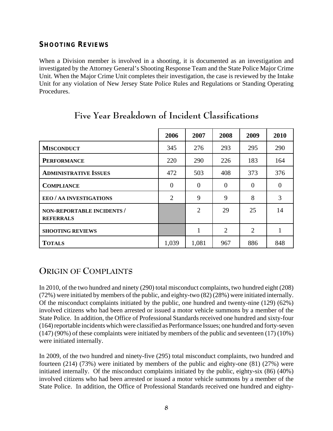#### **SHOOTING REVIEWS**

When a Division member is involved in a shooting, it is documented as an investigation and investigated by the Attorney General's Shooting Response Team and the State Police Major Crime Unit. When the Major Crime Unit completes their investigation, the case is reviewed by the Intake Unit for any violation of New Jersey State Police Rules and Regulations or Standing Operating Procedures.

|                                                | 2006     | 2007           | 2008     | 2009                        | 2010     |
|------------------------------------------------|----------|----------------|----------|-----------------------------|----------|
| <b>MISCONDUCT</b>                              | 345      | 276            | 293      | 295                         | 290      |
| <b>PERFORMANCE</b>                             | 220      | 290            | 226      | 183                         | 164      |
| <b>ADMINISTRATIVE ISSUES</b>                   | 472      | 503            | 408      | 373                         | 376      |
| <b>COMPLIANCE</b>                              | $\Omega$ | $\Omega$       | $\Omega$ | $\Omega$                    | $\Omega$ |
| EEO / AA INVESTIGATIONS                        | 2        | 9              | 9        | 8                           | 3        |
| NON-REPORTABLE INCIDENTS /<br><b>REFERRALS</b> |          | $\overline{2}$ | 29       | 25                          | 14       |
| <b>SHOOTING REVIEWS</b>                        |          | 1              | 2        | $\mathcal{D}_{\mathcal{L}}$ |          |
| <b>TOTALS</b>                                  | 1,039    | 1,081          | 967      | 886                         | 848      |

#### **Five Year Breakdown of Incident Classifications**

#### **ORIGIN OF COMPLAINTS**

In 2010, of the two hundred and ninety (290) total misconduct complaints, two hundred eight (208) (72%) were initiated by members of the public, and eighty-two (82) (28%) were initiated internally. Of the misconduct complaints initiated by the public, one hundred and twenty-nine (129) (62%) involved citizens who had been arrested or issued a motor vehicle summons by a member of the State Police. In addition, the Office of Professional Standards received one hundred and sixty-four (164) reportable incidents which were classified as Performance Issues; one hundred and forty-seven (147) (90%) of these complaints were initiated by members of the public and seventeen (17) (10%) were initiated internally.

In 2009, of the two hundred and ninety-five (295) total misconduct complaints, two hundred and fourteen (214) (73%) were initiated by members of the public and eighty-one (81) (27%) were initiated internally. Of the misconduct complaints initiated by the public, eighty-six (86) (40%) involved citizens who had been arrested or issued a motor vehicle summons by a member of the State Police. In addition, the Office of Professional Standards received one hundred and eighty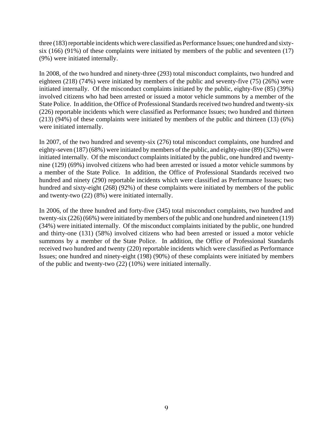three (183) reportable incidents which were classified as Performance Issues; one hundred and sixtysix (166) (91%) of these complaints were initiated by members of the public and seventeen (17) (9%) were initiated internally.

In 2008, of the two hundred and ninety-three (293) total misconduct complaints, two hundred and eighteen (218) (74%) were initiated by members of the public and seventy-five (75) (26%) were initiated internally. Of the misconduct complaints initiated by the public, eighty-five (85) (39%) involved citizens who had been arrested or issued a motor vehicle summons by a member of the State Police. In addition, the Office of Professional Standards received two hundred and twenty-six (226) reportable incidents which were classified as Performance Issues; two hundred and thirteen (213) (94%) of these complaints were initiated by members of the public and thirteen (13) (6%) were initiated internally.

In 2007, of the two hundred and seventy-six (276) total misconduct complaints, one hundred and eighty-seven (187) (68%) were initiated by members of the public, and eighty-nine (89) (32%) were initiated internally. Of the misconduct complaints initiated by the public, one hundred and twentynine (129) (69%) involved citizens who had been arrested or issued a motor vehicle summons by a member of the State Police. In addition, the Office of Professional Standards received two hundred and ninety (290) reportable incidents which were classified as Performance Issues; two hundred and sixty-eight (268) (92%) of these complaints were initiated by members of the public and twenty-two (22) (8%) were initiated internally.

In 2006, of the three hundred and forty-five (345) total misconduct complaints, two hundred and twenty-six (226) (66%) were initiated by members of the public and one hundred and nineteen (119) (34%) were initiated internally. Of the misconduct complaints initiated by the public, one hundred and thirty-one (131) (58%) involved citizens who had been arrested or issued a motor vehicle summons by a member of the State Police. In addition, the Office of Professional Standards received two hundred and twenty (220) reportable incidents which were classified as Performance Issues; one hundred and ninety-eight (198) (90%) of these complaints were initiated by members of the public and twenty-two (22) (10%) were initiated internally.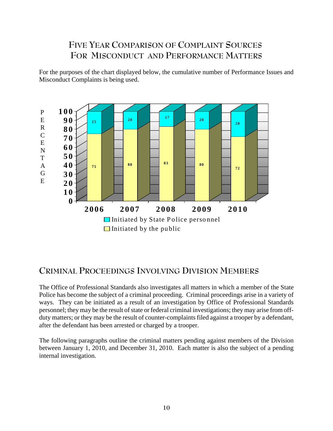#### **FIVE YEAR COMPARISON OF COMPLAINT SOURCES FOR MISCONDUCT AND PERFORMANCE MATTERS**

For the purposes of the chart displayed below, the cumulative number of Performance Issues and Misconduct Complaints is being used.



#### **CRIMINAL PROCEEDINGS INVOLVING DIVISION MEMBERS**

The Office of Professional Standards also investigates all matters in which a member of the State Police has become the subject of a criminal proceeding. Criminal proceedings arise in a variety of ways. They can be initiated as a result of an investigation by Office of Professional Standards personnel; they may be the result of state or federal criminal investigations; they may arise from offduty matters; or they may be the result of counter-complaints filed against a trooper by a defendant, after the defendant has been arrested or charged by a trooper.

The following paragraphs outline the criminal matters pending against members of the Division between January 1, 2010, and December 31, 2010. Each matter is also the subject of a pending internal investigation.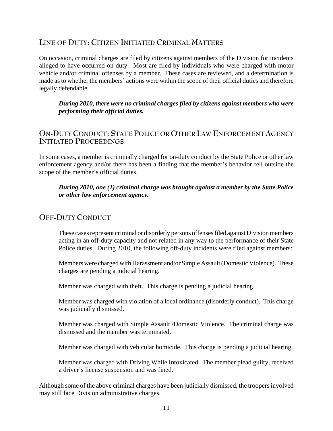#### **LINE OF DUTY: CITIZEN INITIATED CRIMINAL MATTERS**

On occasion, criminal charges are filed by citizens against members of the Division for incidents alleged to have occurred on-duty. Most are filed by individuals who were charged with motor vehicle and/or criminal offenses by a member. These cases are reviewed, and a determination is made as to whether the members' actions were within the scope of their official duties and therefore legally defendable.

*During 2010, there were no criminal charges filed by citizens against members who were performing their official duties.*

#### **ON-DUTY CONDUCT: STATE POLICE OR OTHER LAW ENFORCEMENT AGENCY INITIATED PROCEEDINGS**

In some cases, a member is criminally charged for on-duty conduct by the State Police or other law enforcement agency and/or there has been a finding that the member's behavior fell outside the scope of the member's official duties.

#### *During 2010, one (1) criminal charge was brought against a member by the State Police or other law enforcement agency.*

#### **OFF-DUTY CONDUCT**

These cases represent criminal or disorderly persons offenses filed against Division members acting in an off-duty capacity and not related in any way to the performance of their State Police duties. During 2010, the following off-duty incidents were filed against members:

Members were charged with Harassment and/or Simple Assault (Domestic Violence). These charges are pending a judicial hearing.

Member was charged with theft. This charge is pending a judicial hearing.

Member was charged with violation of a local ordinance (disorderly conduct). This charge was judicially dismissed.

Member was charged with Simple Assault /Domestic Violence. The criminal charge was dismissed and the member was terminated.

Member was charged with vehicular homicide. This charge is pending a judicial hearing.

Member was charged with Driving While Intoxicated. The member plead guilty, received a driver's license suspension and was fined.

Although some of the above criminal charges have been judicially dismissed, the troopers involved may still face Division administrative charges.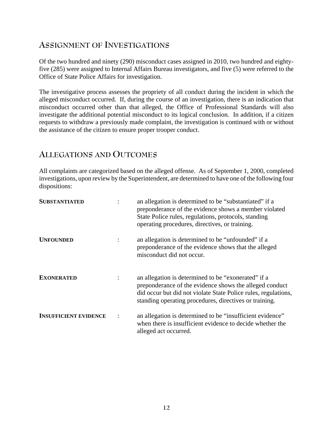#### **ASSIGNMENT OF INVESTIGATIONS**

Of the two hundred and ninety (290) misconduct cases assigned in 2010, two hundred and eightyfive (285) were assigned to Internal Affairs Bureau investigators, and five (5) were referred to the Office of State Police Affairs for investigation.

The investigative process assesses the propriety of all conduct during the incident in which the alleged misconduct occurred. If, during the course of an investigation, there is an indication that misconduct occurred other than that alleged, the Office of Professional Standards will also investigate the additional potential misconduct to its logical conclusion. In addition, if a citizen requests to withdraw a previously made complaint, the investigation is continued with or without the assistance of the citizen to ensure proper trooper conduct.

#### **ALLEGATIONS AND OUTCOMES**

All complaints are categorized based on the alleged offense. As of September 1, 2000, completed investigations, upon review by the Superintendent, are determined to have one of the following four dispositions:

| <b>SUBSTANTIATED</b>         |                | an allegation is determined to be "substantiated" if a<br>preponderance of the evidence shows a member violated<br>State Police rules, regulations, protocols, standing<br>operating procedures, directives, or training.                  |
|------------------------------|----------------|--------------------------------------------------------------------------------------------------------------------------------------------------------------------------------------------------------------------------------------------|
| <b>UNFOUNDED</b>             | $\ddot{\cdot}$ | an allegation is determined to be "unfounded" if a<br>preponderance of the evidence shows that the alleged<br>misconduct did not occur.                                                                                                    |
| <b>EXONERATED</b>            | $\ddot{\cdot}$ | an allegation is determined to be "exonerated" if a<br>preponderance of the evidence shows the alleged conduct<br>did occur but did not violate State Police rules, regulations,<br>standing operating procedures, directives or training. |
| <b>INSUFFICIENT EVIDENCE</b> |                | an allegation is determined to be "insufficient evidence"<br>when there is insufficient evidence to decide whether the<br>alleged act occurred.                                                                                            |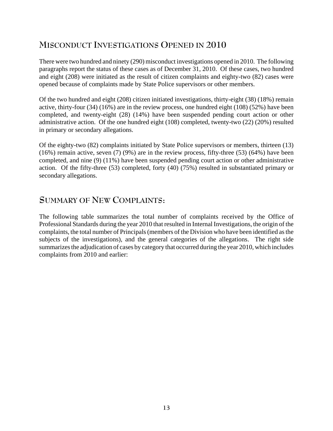#### **MISCONDUCT INVESTIGATIONS OPENED IN 2010**

There were two hundred and ninety (290) misconduct investigations opened in 2010. The following paragraphs report the status of these cases as of December 31, 2010. Of these cases, two hundred and eight (208) were initiated as the result of citizen complaints and eighty-two (82) cases were opened because of complaints made by State Police supervisors or other members.

Of the two hundred and eight (208) citizen initiated investigations, thirty-eight (38) (18%) remain active, thirty-four (34) (16%) are in the review process, one hundred eight (108) (52%) have been completed, and twenty-eight (28) (14%) have been suspended pending court action or other administrative action. Of the one hundred eight (108) completed, twenty-two (22) (20%) resulted in primary or secondary allegations.

Of the eighty-two (82) complaints initiated by State Police supervisors or members, thirteen (13) (16%) remain active, seven (7) (9%) are in the review process, fifty-three (53) (64%) have been completed, and nine (9) (11%) have been suspended pending court action or other administrative action. Of the fifty-three (53) completed, forty (40) (75%) resulted in substantiated primary or secondary allegations.

#### **SUMMARY OF NEW COMPLAINTS:**

The following table summarizes the total number of complaints received by the Office of Professional Standards during the year 2010 that resulted in Internal Investigations, the origin of the complaints, the total number of Principals (members of the Division who have been identified as the subjects of the investigations), and the general categories of the allegations. The right side summarizes the adjudication of cases by category that occurred during the year 2010, which includes complaints from 2010 and earlier: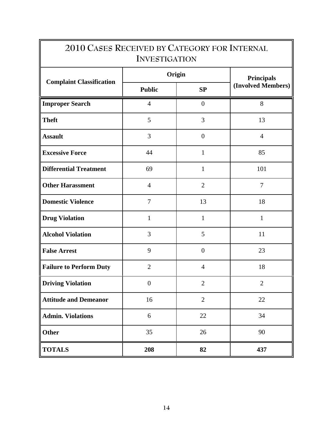| 2010 CASES RECEIVED BY CATEGORY FOR INTERNAL<br><b>INVESTIGATION</b> |                  |                |                                         |  |  |  |
|----------------------------------------------------------------------|------------------|----------------|-----------------------------------------|--|--|--|
|                                                                      |                  | Origin         | <b>Principals</b><br>(Involved Members) |  |  |  |
| <b>Complaint Classification</b>                                      | <b>Public</b>    | SP             |                                         |  |  |  |
| <b>Improper Search</b>                                               | $\overline{4}$   | $\overline{0}$ | 8                                       |  |  |  |
| <b>Theft</b>                                                         | 5                | 3              | 13                                      |  |  |  |
| <b>Assault</b>                                                       | 3                | $\overline{0}$ | $\overline{4}$                          |  |  |  |
| <b>Excessive Force</b>                                               | 44               | $\mathbf{1}$   | 85                                      |  |  |  |
| <b>Differential Treatment</b>                                        | 69               | $\mathbf{1}$   | 101                                     |  |  |  |
| <b>Other Harassment</b>                                              | $\overline{4}$   | $\overline{2}$ | $\overline{7}$                          |  |  |  |
| <b>Domestic Violence</b>                                             | $\overline{7}$   | 13             | 18                                      |  |  |  |
| <b>Drug Violation</b>                                                | $\mathbf{1}$     | $\mathbf{1}$   | $\mathbf{1}$                            |  |  |  |
| <b>Alcohol Violation</b>                                             | 3                | 5              | 11                                      |  |  |  |
| <b>False Arrest</b>                                                  | 9                | $\overline{0}$ | 23                                      |  |  |  |
| <b>Failure to Perform Duty</b>                                       | $\overline{2}$   | $\overline{4}$ | 18                                      |  |  |  |
| <b>Driving Violation</b>                                             | $\boldsymbol{0}$ | $\overline{2}$ | $\overline{2}$                          |  |  |  |
| <b>Attitude and Demeanor</b>                                         | 16               | $\overline{2}$ | 22                                      |  |  |  |
| <b>Admin. Violations</b>                                             | 6                | 22             | 34                                      |  |  |  |
| Other                                                                | 35               | 26             | 90                                      |  |  |  |
| <b>TOTALS</b>                                                        | 208              | 82             | 437                                     |  |  |  |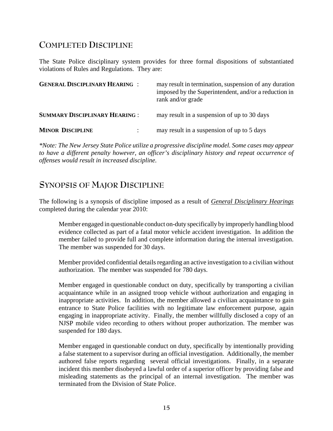#### **COMPLETED DISCIPLINE**

The State Police disciplinary system provides for three formal dispositions of substantiated violations of Rules and Regulations. They are:

| <b>GENERAL DISCIPLINARY HEARING :</b> | may result in termination, suspension of any duration<br>imposed by the Superintendent, and/or a reduction in<br>rank and/or grade |
|---------------------------------------|------------------------------------------------------------------------------------------------------------------------------------|
| <b>SUMMARY DISCIPLINARY HEARING :</b> | may result in a suspension of up to 30 days                                                                                        |
| <b>MINOR DISCIPLINE</b>               | may result in a suspension of up to 5 days                                                                                         |

*\*Note: The New Jersey State Police utilize a progressive discipline model. Some cases may appear to have a different penalty however, an officer's disciplinary history and repeat occurrence of offenses would result in increased discipline.*

#### **SYNOPSIS OF MAJOR DISCIPLINE**

The following is a synopsis of discipline imposed as a result of *General Disciplinary Hearings* completed during the calendar year 2010:

Member engaged in questionable conduct on-duty specifically by improperly handling blood evidence collected as part of a fatal motor vehicle accident investigation. In addition the member failed to provide full and complete information during the internal investigation. The member was suspended for 30 days.

Member provided confidential details regarding an active investigation to a civilian without authorization. The member was suspended for 780 days.

Member engaged in questionable conduct on duty, specifically by transporting a civilian acquaintance while in an assigned troop vehicle without authorization and engaging in inappropriate activities. In addition, the member allowed a civilian acquaintance to gain entrance to State Police facilities with no legitimate law enforcement purpose, again engaging in inappropriate activity. Finally, the member willfully disclosed a copy of an NJSP mobile video recording to others without proper authorization. The member was suspended for 180 days.

Member engaged in questionable conduct on duty, specifically by intentionally providing a false statement to a supervisor during an official investigation. Additionally, the member authored false reports regarding several official investigations. Finally, in a separate incident this member disobeyed a lawful order of a superior officer by providing false and misleading statements as the principal of an internal investigation. The member was terminated from the Division of State Police.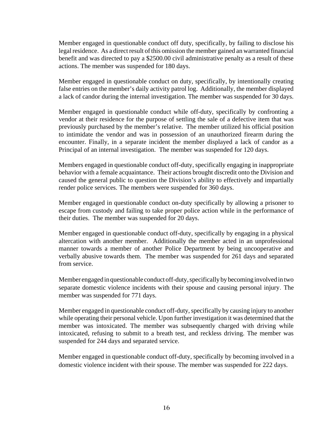Member engaged in questionable conduct off duty, specifically, by failing to disclose his legal residence. As a direct result of this omission the member gained an warranted financial benefit and was directed to pay a \$2500.00 civil administrative penalty as a result of these actions. The member was suspended for 180 days.

Member engaged in questionable conduct on duty, specifically, by intentionally creating false entries on the member's daily activity patrol log. Additionally, the member displayed a lack of candor during the internal investigation. The member was suspended for 30 days.

Member engaged in questionable conduct while off-duty, specifically by confronting a vendor at their residence for the purpose of settling the sale of a defective item that was previously purchased by the member's relative. The member utilized his official position to intimidate the vendor and was in possession of an unauthorized firearm during the encounter. Finally, in a separate incident the member displayed a lack of candor as a Principal of an internal investigation. The member was suspended for 120 days.

Members engaged in questionable conduct off-duty, specifically engaging in inappropriate behavior with a female acquaintance. Their actions brought discredit onto the Division and caused the general public to question the Division's ability to effectively and impartially render police services. The members were suspended for 360 days.

Member engaged in questionable conduct on-duty specifically by allowing a prisoner to escape from custody and failing to take proper police action while in the performance of their duties. The member was suspended for 20 days.

Member engaged in questionable conduct off-duty, specifically by engaging in a physical altercation with another member. Additionally the member acted in an unprofessional manner towards a member of another Police Department by being uncooperative and verbally abusive towards them. The member was suspended for 261 days and separated from service.

Member engaged in questionable conduct off-duty, specifically by becoming involved in two separate domestic violence incidents with their spouse and causing personal injury. The member was suspended for 771 days.

Member engaged in questionable conduct off-duty, specifically by causing injury to another while operating their personal vehicle. Upon further investigation it was determined that the member was intoxicated. The member was subsequently charged with driving while intoxicated, refusing to submit to a breath test, and reckless driving. The member was suspended for 244 days and separated service.

Member engaged in questionable conduct off-duty, specifically by becoming involved in a domestic violence incident with their spouse. The member was suspended for 222 days.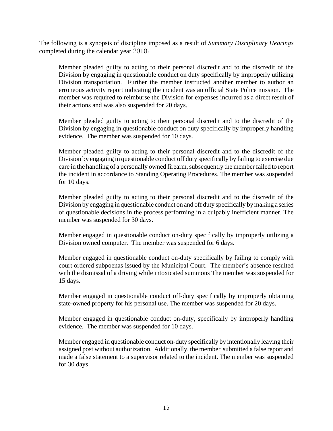The following is a synopsis of discipline imposed as a result of *Summary Disciplinary Hearings* completed during the calendar year 2010:

Member pleaded guilty to acting to their personal discredit and to the discredit of the Division by engaging in questionable conduct on duty specifically by improperly utilizing Division transportation. Further the member instructed another member to author an erroneous activity report indicating the incident was an official State Police mission. The member was required to reimburse the Division for expenses incurred as a direct result of their actions and was also suspended for 20 days.

Member pleaded guilty to acting to their personal discredit and to the discredit of the Division by engaging in questionable conduct on duty specifically by improperly handling evidence. The member was suspended for 10 days.

Member pleaded guilty to acting to their personal discredit and to the discredit of the Division by engaging in questionable conduct off duty specifically by failing to exercise due care in the handling of a personally owned firearm, subsequently the member failed to report the incident in accordance to Standing Operating Procedures. The member was suspended for 10 days.

Member pleaded guilty to acting to their personal discredit and to the discredit of the Division by engaging in questionable conduct on and off duty specifically by making a series of questionable decisions in the process performing in a culpably inefficient manner. The member was suspended for 30 days.

Member engaged in questionable conduct on-duty specifically by improperly utilizing a Division owned computer. The member was suspended for 6 days.

 Member engaged in questionable conduct on-duty specifically by failing to comply with court ordered subpoenas issued by the Municipal Court. The member's absence resulted with the dismissal of a driving while intoxicated summons The member was suspended for 15 days.

Member engaged in questionable conduct off-duty specifically by improperly obtaining state-owned property for his personal use. The member was suspended for 20 days.

Member engaged in questionable conduct on-duty, specifically by improperly handling evidence. The member was suspended for 10 days.

Member engaged in questionable conduct on-duty specifically by intentionally leaving their assigned post without authorization. Additionally, the member submitted a false report and made a false statement to a supervisor related to the incident. The member was suspended for 30 days.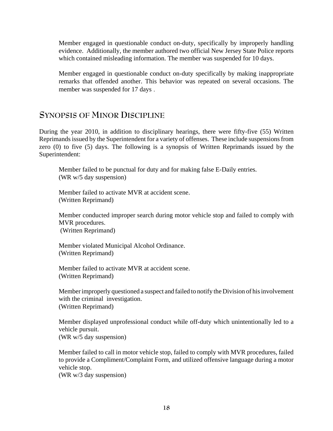Member engaged in questionable conduct on-duty, specifically by improperly handling evidence. Additionally, the member authored two official New Jersey State Police reports which contained misleading information. The member was suspended for 10 days.

Member engaged in questionable conduct on-duty specifically by making inappropriate remarks that offended another. This behavior was repeated on several occasions. The member was suspended for 17 days .

#### **SYNOPSIS OF MINOR DISCIPLINE**

During the year 2010, in addition to disciplinary hearings, there were fifty-five (55) Written Reprimands issued by the Superintendent for a variety of offenses. These include suspensions from zero (0) to five (5) days. The following is a synopsis of Written Reprimands issued by the Superintendent:

Member failed to be punctual for duty and for making false E-Daily entries. (WR w/5 day suspension)

Member failed to activate MVR at accident scene. (Written Reprimand)

Member conducted improper search during motor vehicle stop and failed to comply with MVR procedures. (Written Reprimand)

Member violated Municipal Alcohol Ordinance. (Written Reprimand)

Member failed to activate MVR at accident scene. (Written Reprimand)

Member improperly questioned a suspect and failed to notify the Division of his involvement with the criminal investigation. (Written Reprimand)

Member displayed unprofessional conduct while off-duty which unintentionally led to a vehicle pursuit. (WR w/5 day suspension)

Member failed to call in motor vehicle stop, failed to comply with MVR procedures, failed to provide a Compliment/Complaint Form, and utilized offensive language during a motor vehicle stop.

(WR w/3 day suspension)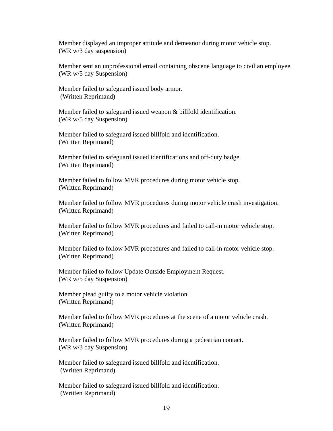Member displayed an improper attitude and demeanor during motor vehicle stop. (WR w/3 day suspension)

Member sent an unprofessional email containing obscene language to civilian employee. (WR w/5 day Suspension)

Member failed to safeguard issued body armor. (Written Reprimand)

Member failed to safeguard issued weapon & billfold identification. (WR w/5 day Suspension)

Member failed to safeguard issued billfold and identification. (Written Reprimand)

Member failed to safeguard issued identifications and off-duty badge. (Written Reprimand)

Member failed to follow MVR procedures during motor vehicle stop. (Written Reprimand)

Member failed to follow MVR procedures during motor vehicle crash investigation. (Written Reprimand)

Member failed to follow MVR procedures and failed to call-in motor vehicle stop. (Written Reprimand)

Member failed to follow MVR procedures and failed to call-in motor vehicle stop. (Written Reprimand)

Member failed to follow Update Outside Employment Request. (WR w/5 day Suspension)

Member plead guilty to a motor vehicle violation. (Written Reprimand)

Member failed to follow MVR procedures at the scene of a motor vehicle crash. (Written Reprimand)

 Member failed to follow MVR procedures during a pedestrian contact. (WR w/3 day Suspension)

Member failed to safeguard issued billfold and identification. (Written Reprimand)

Member failed to safeguard issued billfold and identification. (Written Reprimand)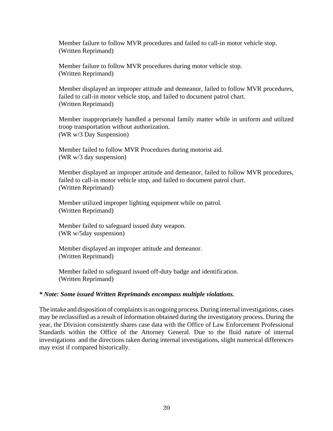Member failure to follow MVR procedures and failed to call-in motor vehicle stop. (Written Reprimand)

Member failure to follow MVR procedures during motor vehicle stop. (Written Reprimand)

Member displayed an improper attitude and demeanor, failed to follow MVR procedures, failed to call-in motor vehicle stop, and failed to document patrol chart. (Written Reprimand)

Member inappropriately handled a personal family matter while in uniform and utilized troop transportation without authorization. (WR w/3 Day Suspension)

Member failed to follow MVR Procedures during motorist aid. (WR w/3 day suspension)

Member displayed an improper attitude and demeanor, failed to follow MVR procedures, failed to call-in motor vehicle stop, and failed to document patrol chart. (Written Reprimand)

Member utilized improper lighting equipment while on patrol. (Written Reprimand)

Member failed to safeguard issued duty weapon. (WR w/5day suspension)

Member displayed an improper attitude and demeanor. (Written Reprimand)

Member failed to safeguard issued off-duty badge and identification. (Written Reprimand)

#### *\* Note: Some issued Written Reprimands encompass multiple violations.*

The intake and disposition of complaints is an ongoing process. During internal investigations, cases may be reclassified as a result of information obtained during the investigatory process. During the year, the Division consistently shares case data with the Office of Law Enforcement Professional Standards within the Office of the Attorney General. Due to the fluid nature of internal investigations and the directions taken during internal investigations, slight numerical differences may exist if compared historically.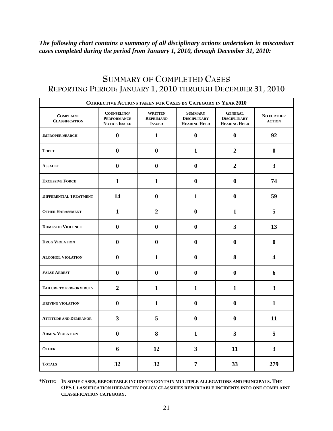*The following chart contains a summary of all disciplinary actions undertaken in misconduct cases completed during the period from January 1, 2010, through December 31, 2010:* 

| CORRECTIVE ACTIONS TAKEN FOR CASES BY CATEGORY IN YEAR 2010 |                                                           |                                                     |                                                              |                                                              |                                    |  |
|-------------------------------------------------------------|-----------------------------------------------------------|-----------------------------------------------------|--------------------------------------------------------------|--------------------------------------------------------------|------------------------------------|--|
| <b>COMPLAINT</b><br><b>CLASSIFICATION</b>                   | COUNSELING/<br><b>PERFORMANCE</b><br><b>NOTICE ISSUED</b> | <b>WRITTEN</b><br><b>REPRIMAND</b><br><b>ISSUED</b> | <b>SUMMARY</b><br><b>DISCIPLINARY</b><br><b>HEARING HELD</b> | <b>GENERAL</b><br><b>DISCIPLINARY</b><br><b>HEARING HELD</b> | <b>NO FURTHER</b><br><b>ACTION</b> |  |
| <b>IMPROPER SEARCH</b>                                      | $\bf{0}$                                                  | $\mathbf{1}$                                        | $\bf{0}$                                                     | $\bf{0}$                                                     | 92                                 |  |
| <b>THEFT</b>                                                | $\bf{0}$                                                  | $\bf{0}$                                            | 1                                                            | $\overline{2}$                                               | $\mathbf{0}$                       |  |
| <b>ASSAULT</b>                                              | $\bf{0}$                                                  | $\bf{0}$                                            | $\bf{0}$                                                     | $\overline{2}$                                               | $\mathbf{3}$                       |  |
| <b>EXCESSIVE FORCE</b>                                      | $\mathbf{1}$                                              | $\mathbf{1}$                                        | $\bf{0}$                                                     | $\bf{0}$                                                     | 74                                 |  |
| <b>DIFFERENTIAL TREATMENT</b>                               | 14                                                        | $\boldsymbol{0}$                                    | 1                                                            | $\bf{0}$                                                     | 59                                 |  |
| <b>OTHER HARASSMENT</b>                                     | $\mathbf{1}$                                              | $\overline{2}$                                      | $\mathbf{0}$                                                 | $\mathbf{1}$                                                 | 5                                  |  |
| <b>DOMESTIC VIOLENCE</b>                                    | $\bf{0}$                                                  | $\bf{0}$                                            | $\bf{0}$                                                     | $\overline{\mathbf{3}}$                                      | 13                                 |  |
| <b>DRUG VIOLATION</b>                                       | $\bf{0}$                                                  | $\boldsymbol{0}$                                    | $\bf{0}$                                                     | $\bf{0}$                                                     | $\bf{0}$                           |  |
| <b>ALCOHOL VIOLATION</b>                                    | $\bf{0}$                                                  | $\mathbf{1}$                                        | $\bf{0}$                                                     | 8                                                            | $\overline{\mathbf{4}}$            |  |
| <b>FALSE ARREST</b>                                         | $\bf{0}$                                                  | $\boldsymbol{0}$                                    | $\bf{0}$                                                     | $\bf{0}$                                                     | 6                                  |  |
| <b>FAILURE TO PERFORM DUTY</b>                              | $\overline{2}$                                            | $\mathbf{1}$                                        | $\mathbf{1}$                                                 | $\mathbf{1}$                                                 | $\mathbf{3}$                       |  |
| <b>DRIVING VIOLATION</b>                                    | $\bf{0}$                                                  | $\mathbf{1}$                                        | $\mathbf{0}$                                                 | $\bf{0}$                                                     | $\mathbf{1}$                       |  |
| <b>ATTITUDE AND DEMEANOR</b>                                | $\overline{\mathbf{3}}$                                   | 5                                                   | $\mathbf{0}$                                                 | $\bf{0}$                                                     | 11                                 |  |
| <b>ADMIN. VIOLATION</b>                                     | $\bf{0}$                                                  | 8                                                   | $\mathbf{1}$                                                 | 3 <sup>1</sup>                                               | 5                                  |  |
| <b>OTHER</b>                                                | 6                                                         | 12                                                  | $\overline{\mathbf{3}}$                                      | 11                                                           | 3 <sup>1</sup>                     |  |
| <b>TOTALS</b>                                               | 32                                                        | 32                                                  | $\overline{7}$                                               | 33                                                           | 279                                |  |

#### **SUMMARY OF COMPLETED CASES REPORTING PERIOD: JANUARY 1, 2010 THROUGH DECEMBER 31, 2010**

**\*NOTE: IN SOME CASES, REPORTABLE INCIDENTS CONTAIN MULTIPLE ALLEGATIONS AND PRINCIPALS. THE OPS CLASSIFICATION HIERARCHY POLICY CLASSIFIES REPORTABLE INCIDENTS INTO ONE COMPLAINT CLASSIFICATION CATEGORY.**